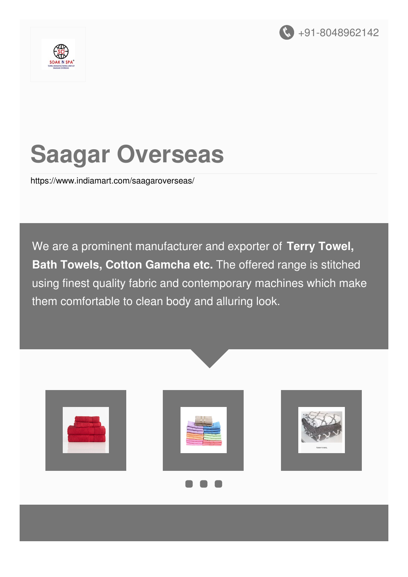



# **Saagar Overseas**

<https://www.indiamart.com/saagaroverseas/>

We are a prominent manufacturer and exporter of **Terry Towel, Bath Towels, Cotton Gamcha etc.** The offered range is stitched using finest quality fabric and contemporary machines which make them comfortable to clean body and alluring look.

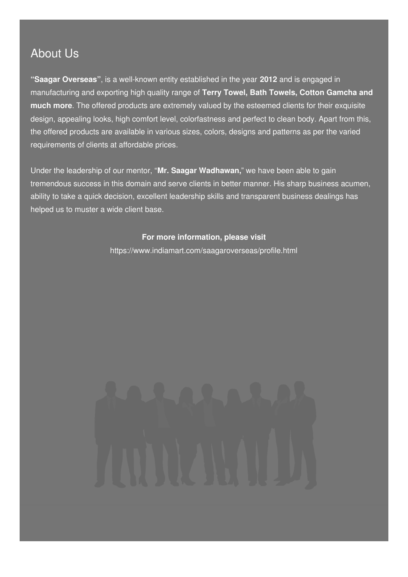### About Us

**"Saagar Overseas"**, is a well-known entity established in the year **2012** and is engaged in manufacturing and exporting high quality range of **Terry Towel, Bath Towels, Cotton Gamcha and much more**. The offered products are extremely valued by the esteemed clients for their exquisite design, appealing looks, high comfort level, colorfastness and perfect to clean body. Apart from this, the offered products are available in various sizes, colors, designs and patterns as per the varied requirements of clients at affordable prices.

Under the leadership of our mentor, "**Mr. Saagar Wadhawan,**" we have been able to gain tremendous success in this domain and serve clients in better manner. His sharp business acumen, ability to take a quick decision, excellent leadership skills and transparent business dealings has helped us to muster a wide client base.

#### **For more information, please visit**

<https://www.indiamart.com/saagaroverseas/profile.html>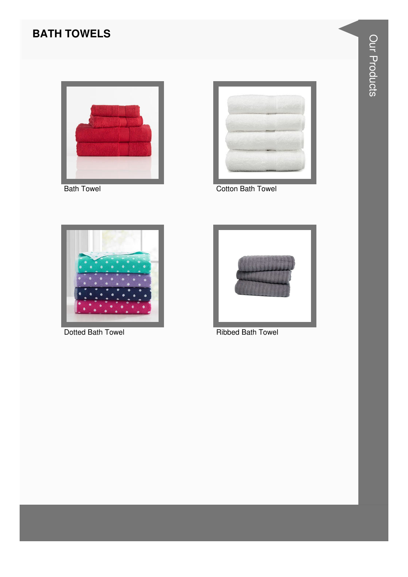### **BATH TOWELS**



**Bath Towel** 



**Cotton Bath Towel** 



Dotted Bath Towel



**Ribbed Bath Towel**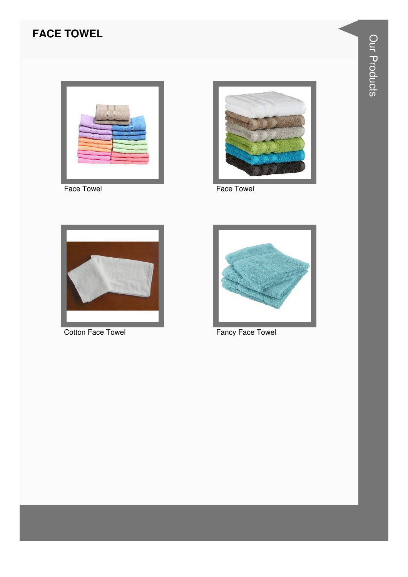### **FACE TOWEL**



Face Towel



Face Towel



**Cotton Face Towel** 



**Fancy Face Towel**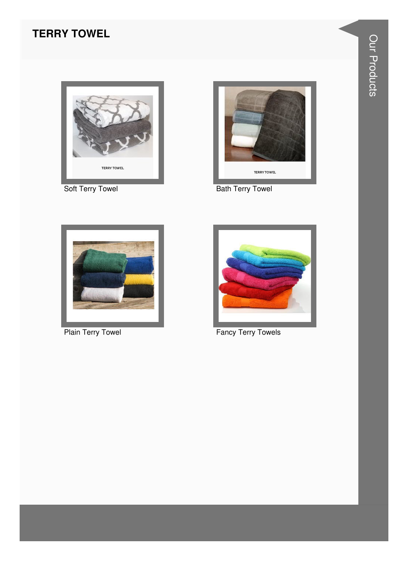#### **TERRY TOWEL**



Soft Terry Towel



**Bath Terry Towel** 



**Plain Terry Towel** 



**Fancy Terry Towels**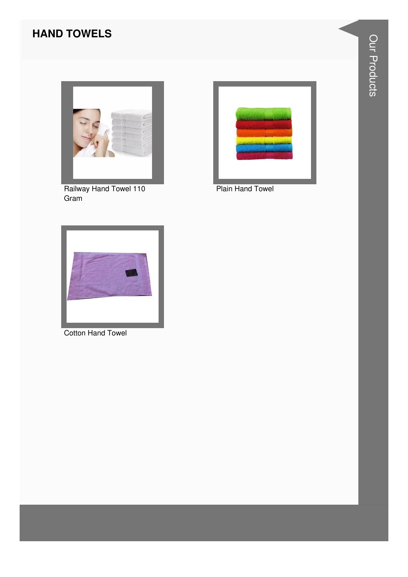#### **HAND TOWELS**



Railway Hand Towel 110 Gram



**Plain Hand Towel** 



**Cotton Hand Towel**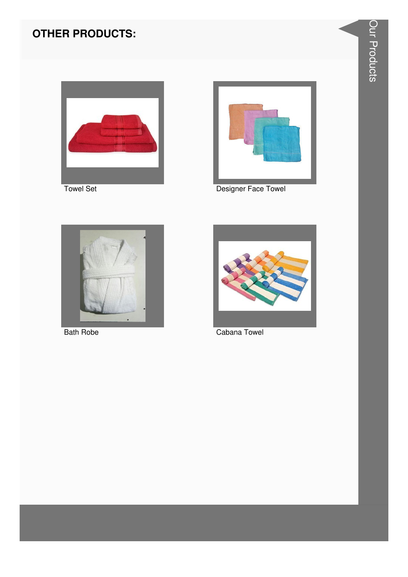### **OTHER PRODUCTS:**





Designer Face Towel



**Bath Robe** 



Cabana Towel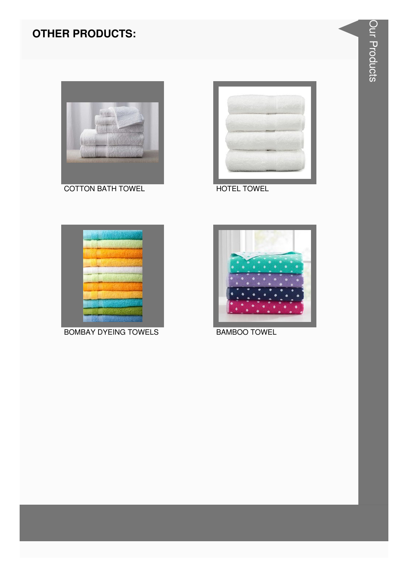### **OTHER PRODUCTS:**





**HOTEL TOWEL** 



**BOMBAY DYEING TOWELS** 



**BAMBOO TOWEL**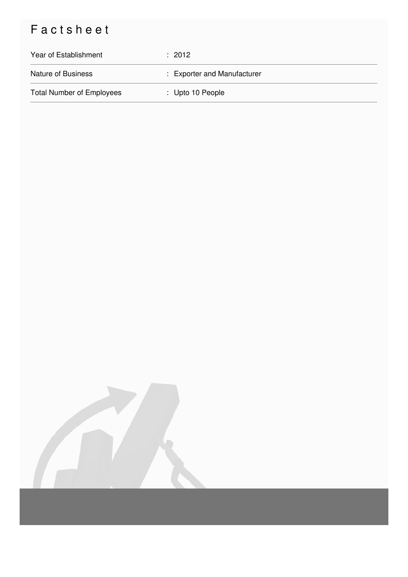## Factsheet

| Year of Establishment            | $\div$ 2012                 |
|----------------------------------|-----------------------------|
| <b>Nature of Business</b>        | : Exporter and Manufacturer |
| <b>Total Number of Employees</b> | : Upto 10 People            |